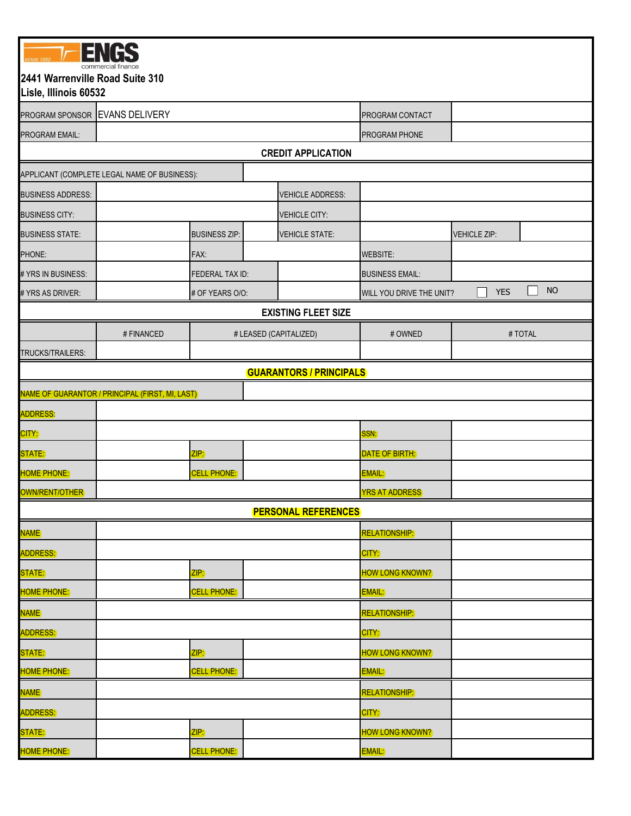|                                                       | <b>ENGS</b>                                     |                         |                      |                                |                          |                     |           |  |  |  |  |  |
|-------------------------------------------------------|-------------------------------------------------|-------------------------|----------------------|--------------------------------|--------------------------|---------------------|-----------|--|--|--|--|--|
| commercial finance<br>2441 Warrenville Road Suite 310 |                                                 |                         |                      |                                |                          |                     |           |  |  |  |  |  |
| Lisle, Illinois 60532                                 |                                                 |                         |                      |                                |                          |                     |           |  |  |  |  |  |
| PROGRAM SPONSOR                                       | <b>EVANS DELIVERY</b>                           |                         | PROGRAM CONTACT      |                                |                          |                     |           |  |  |  |  |  |
| PROGRAM EMAIL:                                        |                                                 |                         |                      |                                | PROGRAM PHONE            |                     |           |  |  |  |  |  |
| <b>CREDIT APPLICATION</b>                             |                                                 |                         |                      |                                |                          |                     |           |  |  |  |  |  |
|                                                       | APPLICANT (COMPLETE LEGAL NAME OF BUSINESS):    |                         |                      |                                |                          |                     |           |  |  |  |  |  |
| <b>BUSINESS ADDRESS:</b>                              |                                                 | <b>VEHICLE ADDRESS:</b> |                      |                                |                          |                     |           |  |  |  |  |  |
| <b>BUSINESS CITY:</b>                                 |                                                 |                         | <b>VEHICLE CITY:</b> |                                |                          |                     |           |  |  |  |  |  |
| <b>BUSINESS STATE:</b>                                |                                                 | <b>BUSINESS ZIP:</b>    |                      | <b>VEHICLE STATE:</b>          |                          | <b>VEHICLE ZIP:</b> |           |  |  |  |  |  |
| PHONE:                                                |                                                 | FAX:                    |                      |                                | <b>WEBSITE:</b>          |                     |           |  |  |  |  |  |
| # YRS IN BUSINESS:                                    |                                                 | <b>FEDERAL TAX ID:</b>  |                      |                                | <b>BUSINESS EMAIL:</b>   |                     |           |  |  |  |  |  |
| # YRS AS DRIVER:                                      |                                                 | # OF YEARS O/O:         |                      |                                | WILL YOU DRIVE THE UNIT? | <b>YES</b>          | <b>NO</b> |  |  |  |  |  |
| <b>EXISTING FLEET SIZE</b>                            |                                                 |                         |                      |                                |                          |                     |           |  |  |  |  |  |
|                                                       | # FINANCED                                      |                         |                      | # LEASED (CAPITALIZED)         | # OWNED                  |                     | #TOTAL    |  |  |  |  |  |
| TRUCKS/TRAILERS:                                      |                                                 |                         |                      |                                |                          |                     |           |  |  |  |  |  |
|                                                       |                                                 |                         |                      | <b>GUARANTORS / PRINCIPALS</b> |                          |                     |           |  |  |  |  |  |
|                                                       | NAME OF GUARANTOR / PRINCIPAL (FIRST, MI, LAST) |                         |                      |                                |                          |                     |           |  |  |  |  |  |
| <b>ADDRESS:</b>                                       |                                                 |                         |                      |                                |                          |                     |           |  |  |  |  |  |
| CITY:                                                 |                                                 |                         |                      |                                | SSN:                     |                     |           |  |  |  |  |  |
| STATE:                                                |                                                 | ZIP                     |                      |                                | <b>DATE OF BIRTH:</b>    |                     |           |  |  |  |  |  |
| <b>HOME PHONE:</b>                                    |                                                 | <b>CELL PHONE:</b>      |                      |                                | <b>EMAIL:</b>            |                     |           |  |  |  |  |  |
| OWN/RENT/OTHER                                        |                                                 |                         |                      |                                | <b>YRS AT ADDRESS</b>    |                     |           |  |  |  |  |  |
|                                                       |                                                 |                         |                      | <b>PERSONAL REFERENCES</b>     |                          |                     |           |  |  |  |  |  |
| <b>NAME</b>                                           |                                                 |                         |                      |                                | <b>RELATIONSHIP:</b>     |                     |           |  |  |  |  |  |
| <b>ADDRESS:</b>                                       |                                                 |                         |                      |                                | <b>CITY</b>              |                     |           |  |  |  |  |  |
| <b>STATE:</b>                                         |                                                 | ZIP                     |                      |                                | <b>HOW LONG KNOWN?</b>   |                     |           |  |  |  |  |  |
| <b>HOME PHONE:</b>                                    |                                                 | <b>CELL PHONE:</b>      |                      |                                | <b>EMAIL:</b>            |                     |           |  |  |  |  |  |
| <b>NAME</b>                                           |                                                 |                         | <b>RELATIONSHIP:</b> |                                |                          |                     |           |  |  |  |  |  |
| <b>ADDRESS:</b>                                       |                                                 |                         |                      |                                | CITY <sup>1</sup>        |                     |           |  |  |  |  |  |
| <b>STATE:</b>                                         |                                                 | ZIP                     |                      |                                | <b>HOW LONG KNOWN?</b>   |                     |           |  |  |  |  |  |
| <b>HOME PHONE:</b>                                    |                                                 | <b>CELL PHONE:</b>      |                      |                                | <b>EMAIL:</b>            |                     |           |  |  |  |  |  |
| <b>NAME</b>                                           |                                                 |                         |                      | <b>RELATIONSHIP:</b>           |                          |                     |           |  |  |  |  |  |
| <b>ADDRESS:</b>                                       |                                                 |                         |                      |                                | CITY:                    |                     |           |  |  |  |  |  |
| STATE:                                                |                                                 | ZIP                     |                      |                                | <b>HOW LONG KNOWN?</b>   |                     |           |  |  |  |  |  |
| <b>HOME PHONE:</b>                                    |                                                 | <b>CELL PHONE:</b>      |                      |                                | <b>EMAIL:</b>            |                     |           |  |  |  |  |  |